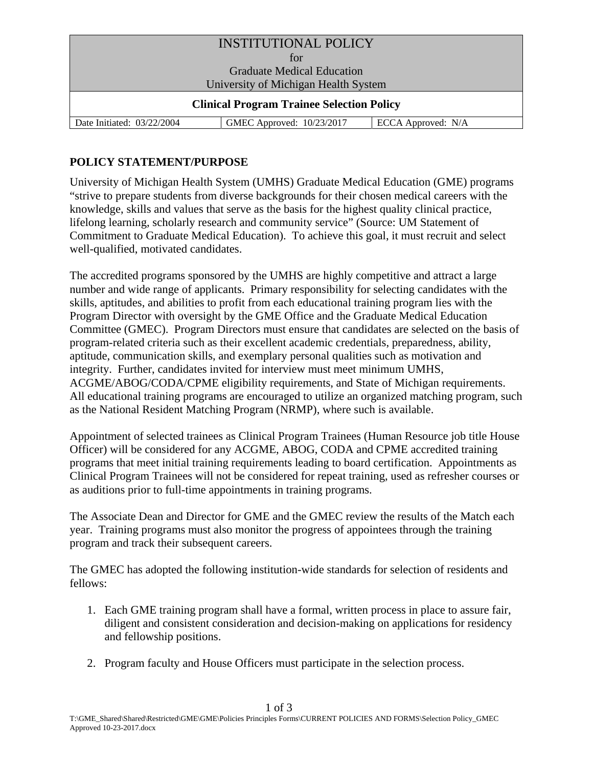| <b>INSTITUTIONAL POLICY</b>                      |                           |                    |
|--------------------------------------------------|---------------------------|--------------------|
| for                                              |                           |                    |
| <b>Graduate Medical Education</b>                |                           |                    |
| University of Michigan Health System             |                           |                    |
| <b>Clinical Program Trainee Selection Policy</b> |                           |                    |
| Date Initiated: 03/22/2004                       | GMEC Approved: 10/23/2017 | ECCA Approved: N/A |

## **POLICY STATEMENT/PURPOSE**

University of Michigan Health System (UMHS) Graduate Medical Education (GME) programs "strive to prepare students from diverse backgrounds for their chosen medical careers with the knowledge, skills and values that serve as the basis for the highest quality clinical practice, lifelong learning, scholarly research and community service" (Source: UM Statement of Commitment to Graduate Medical Education). To achieve this goal, it must recruit and select well-qualified, motivated candidates.

The accredited programs sponsored by the UMHS are highly competitive and attract a large number and wide range of applicants. Primary responsibility for selecting candidates with the skills, aptitudes, and abilities to profit from each educational training program lies with the Program Director with oversight by the GME Office and the Graduate Medical Education Committee (GMEC). Program Directors must ensure that candidates are selected on the basis of program-related criteria such as their excellent academic credentials, preparedness, ability, aptitude, communication skills, and exemplary personal qualities such as motivation and integrity. Further, candidates invited for interview must meet minimum UMHS, ACGME/ABOG/CODA/CPME eligibility requirements, and State of Michigan requirements. All educational training programs are encouraged to utilize an organized matching program, such as the National Resident Matching Program (NRMP), where such is available.

Appointment of selected trainees as Clinical Program Trainees (Human Resource job title House Officer) will be considered for any ACGME, ABOG, CODA and CPME accredited training programs that meet initial training requirements leading to board certification. Appointments as Clinical Program Trainees will not be considered for repeat training, used as refresher courses or as auditions prior to full-time appointments in training programs.

The Associate Dean and Director for GME and the GMEC review the results of the Match each year. Training programs must also monitor the progress of appointees through the training program and track their subsequent careers.

The GMEC has adopted the following institution-wide standards for selection of residents and fellows:

- 1. Each GME training program shall have a formal, written process in place to assure fair, diligent and consistent consideration and decision-making on applications for residency and fellowship positions.
- 2. Program faculty and House Officers must participate in the selection process.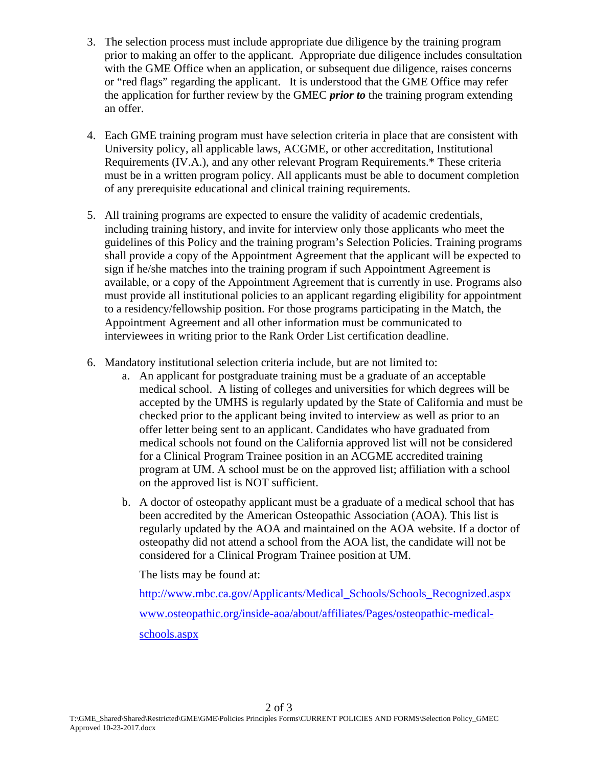- 3. The selection process must include appropriate due diligence by the training program prior to making an offer to the applicant. Appropriate due diligence includes consultation with the GME Office when an application, or subsequent due diligence, raises concerns or "red flags" regarding the applicant. It is understood that the GME Office may refer the application for further review by the GMEC *prior to* the training program extending an offer.
- 4. Each GME training program must have selection criteria in place that are consistent with University policy, all applicable laws, ACGME, or other accreditation, Institutional Requirements (IV.A.), and any other relevant Program Requirements.\* These criteria must be in a written program policy. All applicants must be able to document completion of any prerequisite educational and clinical training requirements.
- 5. All training programs are expected to ensure the validity of academic credentials, including training history, and invite for interview only those applicants who meet the guidelines of this Policy and the training program's Selection Policies. Training programs shall provide a copy of the Appointment Agreement that the applicant will be expected to sign if he/she matches into the training program if such Appointment Agreement is available, or a copy of the Appointment Agreement that is currently in use. Programs also must provide all institutional policies to an applicant regarding eligibility for appointment to a residency/fellowship position. For those programs participating in the Match, the Appointment Agreement and all other information must be communicated to interviewees in writing prior to the Rank Order List certification deadline.
- 6. Mandatory institutional selection criteria include, but are not limited to:
	- a. An applicant for postgraduate training must be a graduate of an acceptable medical school. A listing of colleges and universities for which degrees will be accepted by the UMHS is regularly updated by the State of California and must be checked prior to the applicant being invited to interview as well as prior to an offer letter being sent to an applicant. Candidates who have graduated from medical schools not found on the California approved list will not be considered for a Clinical Program Trainee position in an ACGME accredited training program at UM. A school must be on the approved list; affiliation with a school on the approved list is NOT sufficient.
	- b. A doctor of osteopathy applicant must be a graduate of a medical school that has been accredited by the American Osteopathic Association (AOA). This list is regularly updated by the AOA and maintained on the AOA website. If a doctor of osteopathy did not attend a school from the AOA list, the candidate will not be considered for a Clinical Program Trainee position at UM.

The lists may be found at:

http://www.mbc.ca.gov/Applicants/Medical\_Schools/Schools\_Recognized.aspx www.osteopathic.org/inside-aoa/about/affiliates/Pages/osteopathic-medicalschools.aspx